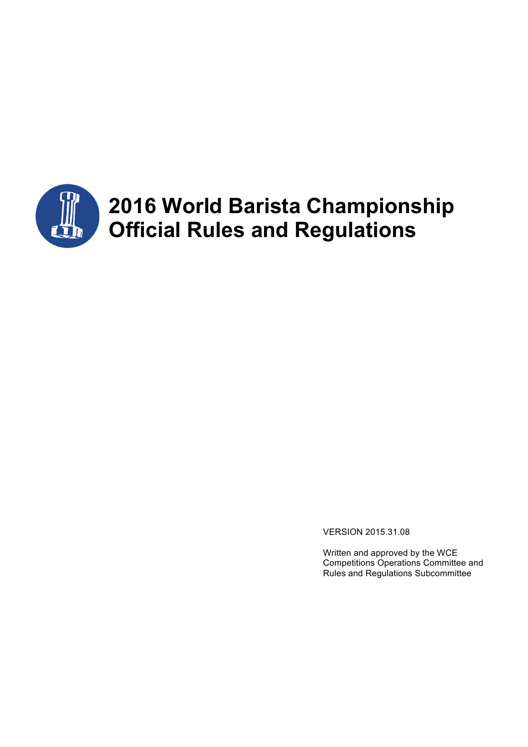

# **2016 World Barista Championship Official Rules and Regulations**

VERSION 2015.31.08

Written and approved by the WCE Competitions Operations Committee and Rules and Regulations Subcommittee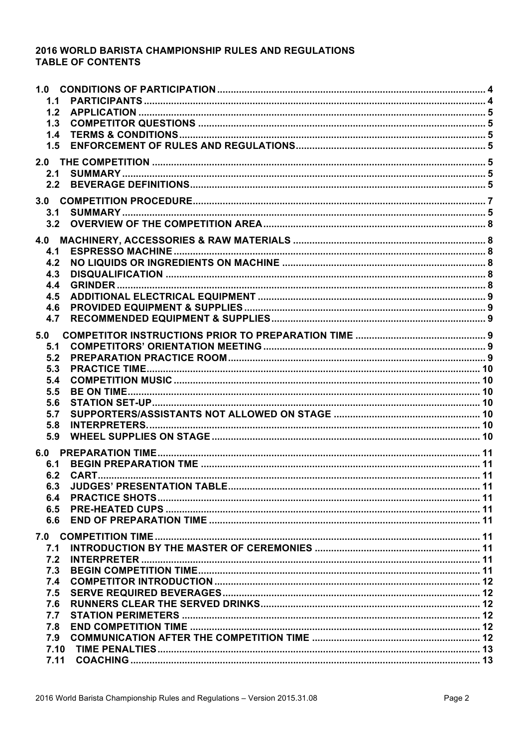# 2016 WORLD BARISTA CHAMPIONSHIP RULES AND REGULATIONS **TABLE OF CONTENTS**

| 1.0<br>1.1<br>1.2<br>1.3                      |  |
|-----------------------------------------------|--|
| 1.4<br>1.5                                    |  |
| 2.1<br>2.2                                    |  |
| 3.1<br>3.2                                    |  |
| 4.1<br>4.2<br>4.3<br>4.4                      |  |
| 4.5<br>4.6<br>4.7                             |  |
| 5.0<br>5.1<br>5.2<br>5.3<br>5.4<br>5.5        |  |
| 5.6<br>5.7<br>5.8<br>5.9                      |  |
| 6.1<br>6.2<br>6.3<br>6.4<br>6.5<br>6.6        |  |
| 7.0<br>7.1<br>7.2<br>7.3<br>7.4<br>7.5<br>7.6 |  |
| 7.7<br>7.8<br>7.9<br>7.10<br>7.11             |  |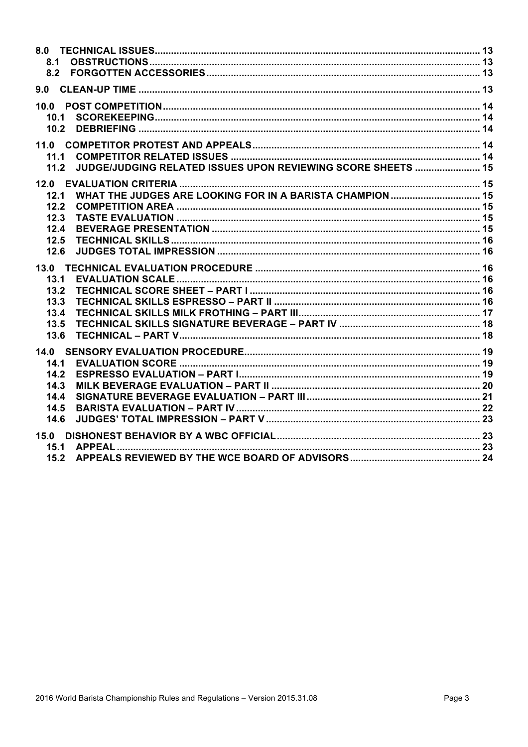| 8.1                                                                         |  |
|-----------------------------------------------------------------------------|--|
| 8.2                                                                         |  |
| 9.0                                                                         |  |
| 10.0                                                                        |  |
| 10.1                                                                        |  |
| 10.2                                                                        |  |
| 11.0                                                                        |  |
| 11.1                                                                        |  |
| <b>JUDGE/JUDGING RELATED ISSUES UPON REVIEWING SCORE SHEETS  15</b><br>11.2 |  |
| 12.0                                                                        |  |
| 12.1                                                                        |  |
| 12.2                                                                        |  |
| 12.3                                                                        |  |
| 12.4                                                                        |  |
| 12.5                                                                        |  |
| 12.6                                                                        |  |
| 13.0                                                                        |  |
| 13.1                                                                        |  |
| 13.2                                                                        |  |
| 13.3                                                                        |  |
| 13.4                                                                        |  |
| 13.5                                                                        |  |
| 13.6                                                                        |  |
| 14.0                                                                        |  |
| 14.1                                                                        |  |
| 14.2                                                                        |  |
| 14.3                                                                        |  |
| 14.4                                                                        |  |
| 14.5                                                                        |  |
| 14.6                                                                        |  |
|                                                                             |  |
| 15.1                                                                        |  |
| 15.2                                                                        |  |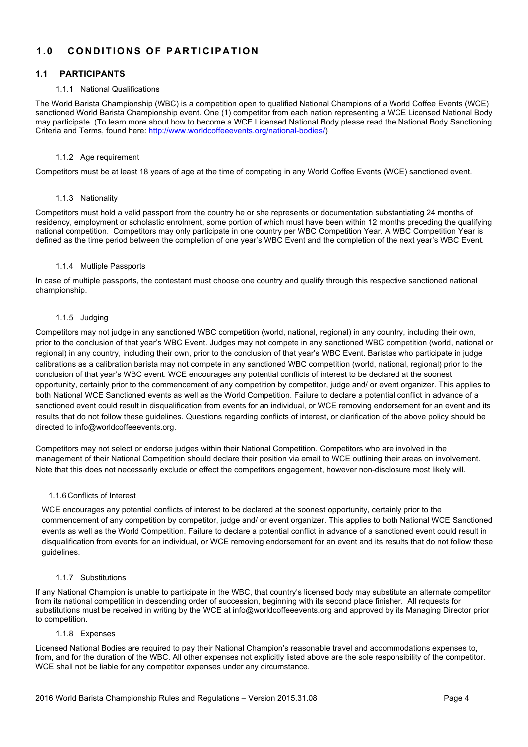# **1.0 CONDITIONS OF PARTIC IPATION**

# **1.1 PARTICIPANTS**

#### 1.1.1 National Qualifications

The World Barista Championship (WBC) is a competition open to qualified National Champions of a World Coffee Events (WCE) sanctioned World Barista Championship event. One (1) competitor from each nation representing a WCE Licensed National Body may participate. (To learn more about how to become a WCE Licensed National Body please read the National Body Sanctioning Criteria and Terms, found here: http://www.worldcoffeeevents.org/national-bodies/)

#### 1.1.2 Age requirement

Competitors must be at least 18 years of age at the time of competing in any World Coffee Events (WCE) sanctioned event.

#### 1.1.3 Nationality

Competitors must hold a valid passport from the country he or she represents or documentation substantiating 24 months of residency, employment or scholastic enrolment, some portion of which must have been within 12 months preceding the qualifying national competition. Competitors may only participate in one country per WBC Competition Year. A WBC Competition Year is defined as the time period between the completion of one year's WBC Event and the completion of the next year's WBC Event.

#### 1.1.4 Mutliple Passports

In case of multiple passports, the contestant must choose one country and qualify through this respective sanctioned national championship.

#### 1.1.5 Judging

Competitors may not judge in any sanctioned WBC competition (world, national, regional) in any country, including their own, prior to the conclusion of that year's WBC Event. Judges may not compete in any sanctioned WBC competition (world, national or regional) in any country, including their own, prior to the conclusion of that year's WBC Event. Baristas who participate in judge calibrations as a calibration barista may not compete in any sanctioned WBC competition (world, national, regional) prior to the conclusion of that year's WBC event. WCE encourages any potential conflicts of interest to be declared at the soonest opportunity, certainly prior to the commencement of any competition by competitor, judge and/ or event organizer. This applies to both National WCE Sanctioned events as well as the World Competition. Failure to declare a potential conflict in advance of a sanctioned event could result in disqualification from events for an individual, or WCE removing endorsement for an event and its results that do not follow these guidelines. Questions regarding conflicts of interest, or clarification of the above policy should be directed to info@worldcoffeeevents.org.

Competitors may not select or endorse judges within their National Competition. Competitors who are involved in the management of their National Competition should declare their position via email to WCE outlining their areas on involvement. Note that this does not necessarily exclude or effect the competitors engagement, however non-disclosure most likely will.

## 1.1.6 Conflicts of Interest

WCE encourages any potential conflicts of interest to be declared at the soonest opportunity, certainly prior to the commencement of any competition by competitor, judge and/ or event organizer. This applies to both National WCE Sanctioned events as well as the World Competition. Failure to declare a potential conflict in advance of a sanctioned event could result in disqualification from events for an individual, or WCE removing endorsement for an event and its results that do not follow these guidelines.

#### 1.1.7 Substitutions

If any National Champion is unable to participate in the WBC, that country's licensed body may substitute an alternate competitor from its national competition in descending order of succession, beginning with its second place finisher. All requests for substitutions must be received in writing by the WCE at info@worldcoffeeevents.org and approved by its Managing Director prior to competition.

#### 1.1.8 Expenses

Licensed National Bodies are required to pay their National Champion's reasonable travel and accommodations expenses to, from, and for the duration of the WBC. All other expenses not explicitly listed above are the sole responsibility of the competitor. WCE shall not be liable for any competitor expenses under any circumstance.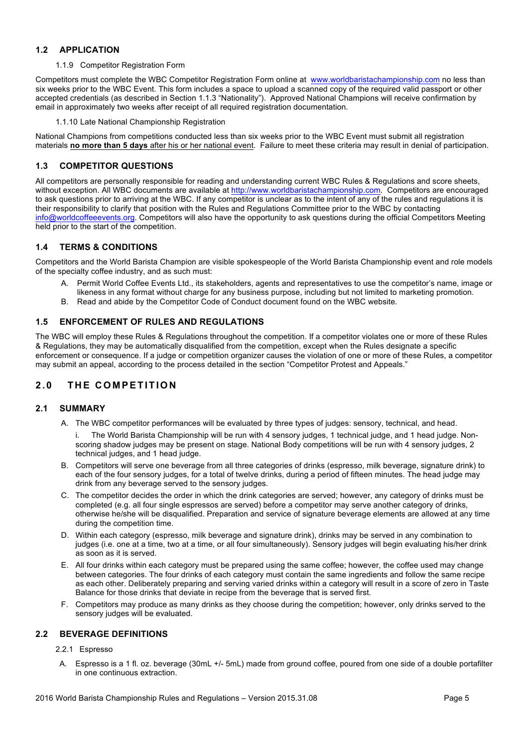# **1.2 APPLICATION**

# 1.1.9 Competitor Registration Form

Competitors must complete the WBC Competitor Registration Form online at www.worldbaristachampionship.com no less than six weeks prior to the WBC Event. This form includes a space to upload a scanned copy of the required valid passport or other accepted credentials (as described in Section 1.1.3 "Nationality"). Approved National Champions will receive confirmation by email in approximately two weeks after receipt of all required registration documentation.

1.1.10 Late National Championship Registration

National Champions from competitions conducted less than six weeks prior to the WBC Event must submit all registration materials **no more than 5 days** after his or her national event. Failure to meet these criteria may result in denial of participation.

# **1.3 COMPETITOR QUESTIONS**

All competitors are personally responsible for reading and understanding current WBC Rules & Regulations and score sheets, without exception. All WBC documents are available at http://www.worldbaristachampionship.com. Competitors are encouraged to ask questions prior to arriving at the WBC. If any competitor is unclear as to the intent of any of the rules and regulations it is their responsibility to clarify that position with the Rules and Regulations Committee prior to the WBC by contacting info@worldcoffeeevents.org. Competitors will also have the opportunity to ask questions during the official Competitors Meeting held prior to the start of the competition.

## **1.4 TERMS & CONDITIONS**

Competitors and the World Barista Champion are visible spokespeople of the World Barista Championship event and role models of the specialty coffee industry, and as such must:

- A. Permit World Coffee Events Ltd., its stakeholders, agents and representatives to use the competitor's name, image or likeness in any format without charge for any business purpose, including but not limited to marketing promotion.
- B. Read and abide by the Competitor Code of Conduct document found on the WBC website.

## **1.5 ENFORCEMENT OF RULES AND REGULATIONS**

The WBC will employ these Rules & Regulations throughout the competition. If a competitor violates one or more of these Rules & Regulations, they may be automatically disqualified from the competition, except when the Rules designate a specific enforcement or consequence. If a judge or competition organizer causes the violation of one or more of these Rules, a competitor may submit an appeal, according to the process detailed in the section "Competitor Protest and Appeals."

# **2.0 THE COMPETITION**

## **2.1 SUMMARY**

- A. The WBC competitor performances will be evaluated by three types of judges: sensory, technical, and head.
	- i. The World Barista Championship will be run with 4 sensory judges, 1 technical judge, and 1 head judge. Nonscoring shadow judges may be present on stage. National Body competitions will be run with 4 sensory judges, 2 technical judges, and 1 head judge.
- B. Competitors will serve one beverage from all three categories of drinks (espresso, milk beverage, signature drink) to each of the four sensory judges, for a total of twelve drinks, during a period of fifteen minutes. The head judge may drink from any beverage served to the sensory judges.
- C. The competitor decides the order in which the drink categories are served; however, any category of drinks must be completed (e.g. all four single espressos are served) before a competitor may serve another category of drinks, otherwise he/she will be disqualified. Preparation and service of signature beverage elements are allowed at any time during the competition time.
- D. Within each category (espresso, milk beverage and signature drink), drinks may be served in any combination to judges (i.e. one at a time, two at a time, or all four simultaneously). Sensory judges will begin evaluating his/her drink as soon as it is served.
- E. All four drinks within each category must be prepared using the same coffee; however, the coffee used may change between categories. The four drinks of each category must contain the same ingredients and follow the same recipe as each other. Deliberately preparing and serving varied drinks within a category will result in a score of zero in Taste Balance for those drinks that deviate in recipe from the beverage that is served first.
- F. Competitors may produce as many drinks as they choose during the competition; however, only drinks served to the sensory judges will be evaluated.

## **2.2 BEVERAGE DEFINITIONS**

2.2.1 Espresso

A. Espresso is a 1 fl. oz. beverage (30mL +/- 5mL) made from ground coffee, poured from one side of a double portafilter in one continuous extraction.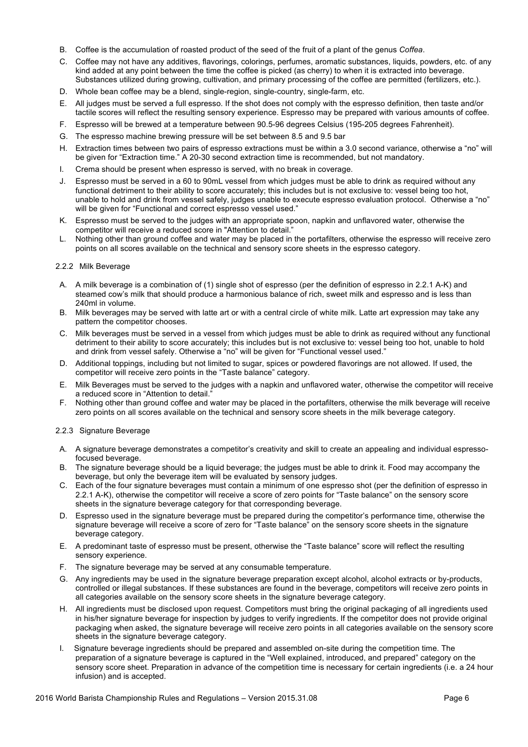- B. Coffee is the accumulation of roasted product of the seed of the fruit of a plant of the genus *Coffea*.
- C. Coffee may not have any additives, flavorings, colorings, perfumes, aromatic substances, liquids, powders, etc. of any kind added at any point between the time the coffee is picked (as cherry) to when it is extracted into beverage. Substances utilized during growing, cultivation, and primary processing of the coffee are permitted (fertilizers, etc.).
- D. Whole bean coffee may be a blend, single-region, single-country, single-farm, etc.
- E. All judges must be served a full espresso. If the shot does not comply with the espresso definition, then taste and/or tactile scores will reflect the resulting sensory experience. Espresso may be prepared with various amounts of coffee.
- F. Espresso will be brewed at a temperature between 90.5-96 degrees Celsius (195-205 degrees Fahrenheit).
- G. The espresso machine brewing pressure will be set between 8.5 and 9.5 bar
- H. Extraction times between two pairs of espresso extractions must be within a 3.0 second variance, otherwise a "no" will be given for "Extraction time." A 20-30 second extraction time is recommended, but not mandatory.
- I. Crema should be present when espresso is served, with no break in coverage.
- J. Espresso must be served in a 60 to 90mL vessel from which judges must be able to drink as required without any functional detriment to their ability to score accurately; this includes but is not exclusive to: vessel being too hot, unable to hold and drink from vessel safely, judges unable to execute espresso evaluation protocol. Otherwise a "no" will be given for "Functional and correct espresso vessel used."
- K. Espresso must be served to the judges with an appropriate spoon, napkin and unflavored water, otherwise the competitor will receive a reduced score in "Attention to detail."
- L. Nothing other than ground coffee and water may be placed in the portafilters, otherwise the espresso will receive zero points on all scores available on the technical and sensory score sheets in the espresso category.

#### 2.2.2 Milk Beverage

- A. A milk beverage is a combination of (1) single shot of espresso (per the definition of espresso in 2.2.1 A-K) and steamed cow's milk that should produce a harmonious balance of rich, sweet milk and espresso and is less than 240ml in volume.
- B. Milk beverages may be served with latte art or with a central circle of white milk. Latte art expression may take any pattern the competitor chooses.
- C. Milk beverages must be served in a vessel from which judges must be able to drink as required without any functional detriment to their ability to score accurately; this includes but is not exclusive to: vessel being too hot, unable to hold and drink from vessel safely. Otherwise a "no" will be given for "Functional vessel used."
- D. Additional toppings, including but not limited to sugar, spices or powdered flavorings are not allowed. If used, the competitor will receive zero points in the "Taste balance" category.
- E. Milk Beverages must be served to the judges with a napkin and unflavored water, otherwise the competitor will receive a reduced score in "Attention to detail."
- F. Nothing other than ground coffee and water may be placed in the portafilters, otherwise the milk beverage will receive zero points on all scores available on the technical and sensory score sheets in the milk beverage category.

#### 2.2.3 Signature Beverage

- A. A signature beverage demonstrates a competitor's creativity and skill to create an appealing and individual espressofocused beverage.
- B. The signature beverage should be a liquid beverage; the judges must be able to drink it. Food may accompany the beverage, but only the beverage item will be evaluated by sensory judges.
- C. Each of the four signature beverages must contain a minimum of one espresso shot (per the definition of espresso in 2.2.1 A-K), otherwise the competitor will receive a score of zero points for "Taste balance" on the sensory score sheets in the signature beverage category for that corresponding beverage.
- D. Espresso used in the signature beverage must be prepared during the competitor's performance time, otherwise the signature beverage will receive a score of zero for "Taste balance" on the sensory score sheets in the signature beverage category.
- E. A predominant taste of espresso must be present, otherwise the "Taste balance" score will reflect the resulting sensory experience.
- F. The signature beverage may be served at any consumable temperature.
- G. Any ingredients may be used in the signature beverage preparation except alcohol, alcohol extracts or by-products, controlled or illegal substances. If these substances are found in the beverage, competitors will receive zero points in all categories available on the sensory score sheets in the signature beverage category.
- H. All ingredients must be disclosed upon request. Competitors must bring the original packaging of all ingredients used in his/her signature beverage for inspection by judges to verify ingredients. If the competitor does not provide original packaging when asked, the signature beverage will receive zero points in all categories available on the sensory score sheets in the signature beverage category.
- I. Signature beverage ingredients should be prepared and assembled on-site during the competition time. The preparation of a signature beverage is captured in the "Well explained, introduced, and prepared" category on the sensory score sheet. Preparation in advance of the competition time is necessary for certain ingredients (i.e. a 24 hour infusion) and is accepted.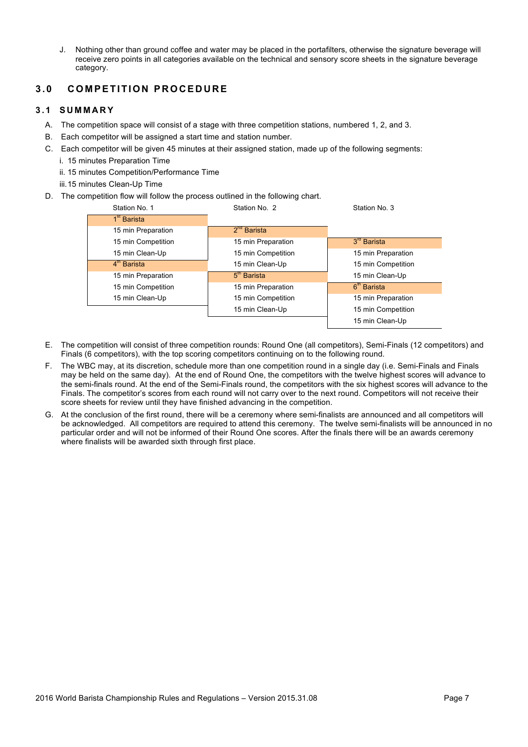J. Nothing other than ground coffee and water may be placed in the portafilters, otherwise the signature beverage will receive zero points in all categories available on the technical and sensory score sheets in the signature beverage category.

# **3.0 COMPETITION PROCEDUR E**

# **3.1 SUMMARY**

- A. The competition space will consist of a stage with three competition stations, numbered 1, 2, and 3.
- B. Each competitor will be assigned a start time and station number.
- C. Each competitor will be given 45 minutes at their assigned station, made up of the following segments:
	- i. 15 minutes Preparation Time
	- ii. 15 minutes Competition/Performance Time
	- iii.15 minutes Clean-Up Time
- D. The competition flow will follow the process outlined in the following chart.

| Station No. 1           | Station No. 2           | Station No. 3              |
|-------------------------|-------------------------|----------------------------|
| 1 <sup>st</sup> Barista |                         |                            |
| 15 min Preparation      | $2nd$ Barista           |                            |
| 15 min Competition      | 15 min Preparation      | $3^{\prime\prime}$ Barista |
| 15 min Clean-Up         | 15 min Competition      | 15 min Preparation         |
| $4th$ Barista           | 15 min Clean-Up         | 15 min Competition         |
| 15 min Preparation      | 5 <sup>th</sup> Barista | 15 min Clean-Up            |
| 15 min Competition      | 15 min Preparation      | 6 <sup>th</sup> Barista    |
| 15 min Clean-Up         | 15 min Competition      | 15 min Preparation         |
|                         | 15 min Clean-Up         | 15 min Competition         |
|                         |                         | 15 min Clean-Up            |

- E. The competition will consist of three competition rounds: Round One (all competitors), Semi-Finals (12 competitors) and Finals (6 competitors), with the top scoring competitors continuing on to the following round.
- F. The WBC may, at its discretion, schedule more than one competition round in a single day (i.e. Semi-Finals and Finals may be held on the same day). At the end of Round One, the competitors with the twelve highest scores will advance to the semi-finals round. At the end of the Semi-Finals round, the competitors with the six highest scores will advance to the Finals. The competitor's scores from each round will not carry over to the next round. Competitors will not receive their score sheets for review until they have finished advancing in the competition.
- G. At the conclusion of the first round, there will be a ceremony where semi-finalists are announced and all competitors will be acknowledged. All competitors are required to attend this ceremony. The twelve semi-finalists will be announced in no particular order and will not be informed of their Round One scores. After the finals there will be an awards ceremony where finalists will be awarded sixth through first place.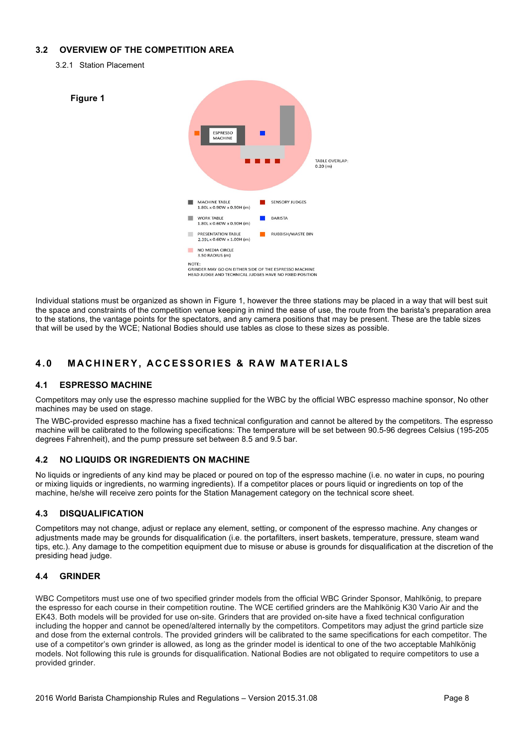# **3.2 OVERVIEW OF THE COMPETITION AREA**

3.2.1 Station Placement



Individual stations must be organized as shown in Figure 1, however the three stations may be placed in a way that will best suit the space and constraints of the competition venue keeping in mind the ease of use, the route from the barista's preparation area to the stations, the vantage points for the spectators, and any camera positions that may be present. These are the table sizes that will be used by the WCE; National Bodies should use tables as close to these sizes as possible.

# **4.0 MACHINERY, ACCESSORIES & RAW MATERIALS**

## **4.1 ESPRESSO MACHINE**

Competitors may only use the espresso machine supplied for the WBC by the official WBC espresso machine sponsor, No other machines may be used on stage.

The WBC-provided espresso machine has a fixed technical configuration and cannot be altered by the competitors. The espresso machine will be calibrated to the following specifications: The temperature will be set between 90.5-96 degrees Celsius (195-205 degrees Fahrenheit), and the pump pressure set between 8.5 and 9.5 bar.

## **4.2 NO LIQUIDS OR INGREDIENTS ON MACHINE**

No liquids or ingredients of any kind may be placed or poured on top of the espresso machine (i.e. no water in cups, no pouring or mixing liquids or ingredients, no warming ingredients). If a competitor places or pours liquid or ingredients on top of the machine, he/she will receive zero points for the Station Management category on the technical score sheet.

# **4.3 DISQUALIFICATION**

Competitors may not change, adjust or replace any element, setting, or component of the espresso machine. Any changes or adjustments made may be grounds for disqualification (i.e. the portafilters, insert baskets, temperature, pressure, steam wand tips, etc.). Any damage to the competition equipment due to misuse or abuse is grounds for disqualification at the discretion of the presiding head judge.

# **4.4 GRINDER**

WBC Competitors must use one of two specified grinder models from the official WBC Grinder Sponsor, Mahlkönig, to prepare the espresso for each course in their competition routine. The WCE certified grinders are the Mahlkönig K30 Vario Air and the EK43. Both models will be provided for use on-site. Grinders that are provided on-site have a fixed technical configuration including the hopper and cannot be opened/altered internally by the competitors. Competitors may adjust the grind particle size and dose from the external controls. The provided grinders will be calibrated to the same specifications for each competitor. The use of a competitor's own grinder is allowed, as long as the grinder model is identical to one of the two acceptable Mahlkönig models. Not following this rule is grounds for disqualification. National Bodies are not obligated to require competitors to use a provided grinder.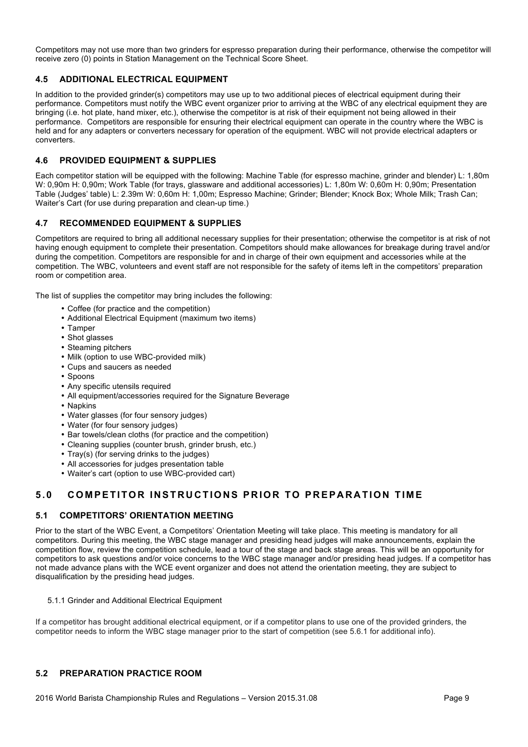Competitors may not use more than two grinders for espresso preparation during their performance, otherwise the competitor will receive zero (0) points in Station Management on the Technical Score Sheet.

# **4.5 ADDITIONAL ELECTRICAL EQUIPMENT**

In addition to the provided grinder(s) competitors may use up to two additional pieces of electrical equipment during their performance. Competitors must notify the WBC event organizer prior to arriving at the WBC of any electrical equipment they are bringing (i.e. hot plate, hand mixer, etc.), otherwise the competitor is at risk of their equipment not being allowed in their performance. Competitors are responsible for ensuring their electrical equipment can operate in the country where the WBC is held and for any adapters or converters necessary for operation of the equipment. WBC will not provide electrical adapters or converters.

## **4.6 PROVIDED EQUIPMENT & SUPPLIES**

Each competitor station will be equipped with the following: Machine Table (for espresso machine, grinder and blender) L: 1,80m W: 0,90m H: 0,90m; Work Table (for trays, glassware and additional accessories) L: 1,80m W: 0,60m H: 0,90m; Presentation Table (Judges' table) L: 2.39m W: 0,60m H: 1,00m; Espresso Machine; Grinder; Blender; Knock Box; Whole Milk; Trash Can; Waiter's Cart (for use during preparation and clean-up time.)

## **4.7 RECOMMENDED EQUIPMENT & SUPPLIES**

Competitors are required to bring all additional necessary supplies for their presentation; otherwise the competitor is at risk of not having enough equipment to complete their presentation. Competitors should make allowances for breakage during travel and/or during the competition. Competitors are responsible for and in charge of their own equipment and accessories while at the competition. The WBC, volunteers and event staff are not responsible for the safety of items left in the competitors' preparation room or competition area.

The list of supplies the competitor may bring includes the following:

- Coffee (for practice and the competition)
- Additional Electrical Equipment (maximum two items)
- Tamper
- Shot glasses
- Steaming pitchers
- Milk (option to use WBC-provided milk)
- Cups and saucers as needed
- Spoons
- Any specific utensils required
- All equipment/accessories required for the Signature Beverage
- Napkins
- Water glasses (for four sensory judges)
- Water (for four sensory judges)
- Bar towels/clean cloths (for practice and the competition)
- Cleaning supplies (counter brush, grinder brush, etc.)
- Tray(s) (for serving drinks to the judges)
- All accessories for judges presentation table
- Waiter's cart (option to use WBC-provided cart)

# **5.0 COMPETITOR INSTRUCTIONS PRIOR TO PREPARA TION TIME**

## **5.1 COMPETITORS' ORIENTATION MEETING**

Prior to the start of the WBC Event, a Competitors' Orientation Meeting will take place. This meeting is mandatory for all competitors. During this meeting, the WBC stage manager and presiding head judges will make announcements, explain the competition flow, review the competition schedule, lead a tour of the stage and back stage areas. This will be an opportunity for competitors to ask questions and/or voice concerns to the WBC stage manager and/or presiding head judges. If a competitor has not made advance plans with the WCE event organizer and does not attend the orientation meeting, they are subject to disqualification by the presiding head judges.

5.1.1 Grinder and Additional Electrical Equipment

If a competitor has brought additional electrical equipment, or if a competitor plans to use one of the provided grinders, the competitor needs to inform the WBC stage manager prior to the start of competition (see 5.6.1 for additional info).

## **5.2 PREPARATION PRACTICE ROOM**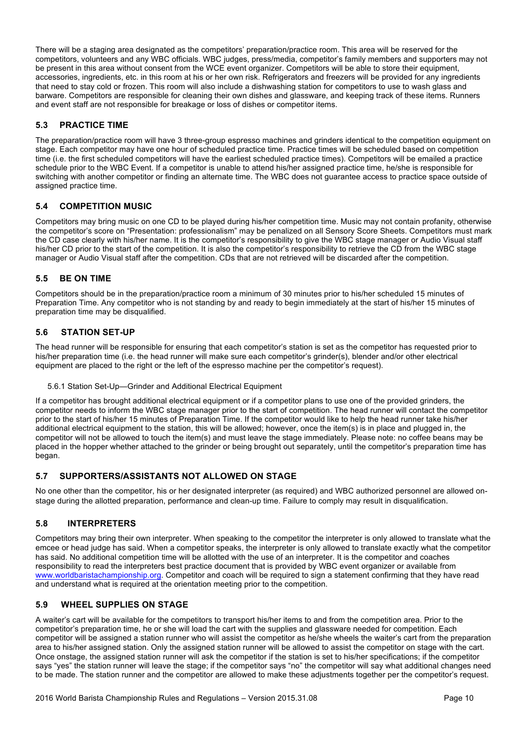There will be a staging area designated as the competitors' preparation/practice room. This area will be reserved for the competitors, volunteers and any WBC officials. WBC judges, press/media, competitor's family members and supporters may not be present in this area without consent from the WCE event organizer. Competitors will be able to store their equipment, accessories, ingredients, etc. in this room at his or her own risk. Refrigerators and freezers will be provided for any ingredients that need to stay cold or frozen. This room will also include a dishwashing station for competitors to use to wash glass and barware. Competitors are responsible for cleaning their own dishes and glassware, and keeping track of these items. Runners and event staff are not responsible for breakage or loss of dishes or competitor items.

# **5.3 PRACTICE TIME**

The preparation/practice room will have 3 three-group espresso machines and grinders identical to the competition equipment on stage. Each competitor may have one hour of scheduled practice time. Practice times will be scheduled based on competition time (i.e. the first scheduled competitors will have the earliest scheduled practice times). Competitors will be emailed a practice schedule prior to the WBC Event. If a competitor is unable to attend his/her assigned practice time, he/she is responsible for switching with another competitor or finding an alternate time. The WBC does not guarantee access to practice space outside of assigned practice time.

## **5.4 COMPETITION MUSIC**

Competitors may bring music on one CD to be played during his/her competition time. Music may not contain profanity, otherwise the competitor's score on "Presentation: professionalism" may be penalized on all Sensory Score Sheets. Competitors must mark the CD case clearly with his/her name. It is the competitor's responsibility to give the WBC stage manager or Audio Visual staff his/her CD prior to the start of the competition. It is also the competitor's responsibility to retrieve the CD from the WBC stage manager or Audio Visual staff after the competition. CDs that are not retrieved will be discarded after the competition.

## **5.5 BE ON TIME**

Competitors should be in the preparation/practice room a minimum of 30 minutes prior to his/her scheduled 15 minutes of Preparation Time. Any competitor who is not standing by and ready to begin immediately at the start of his/her 15 minutes of preparation time may be disqualified.

## **5.6 STATION SET-UP**

The head runner will be responsible for ensuring that each competitor's station is set as the competitor has requested prior to his/her preparation time (i.e. the head runner will make sure each competitor's grinder(s), blender and/or other electrical equipment are placed to the right or the left of the espresso machine per the competitor's request).

5.6.1 Station Set-Up—Grinder and Additional Electrical Equipment

If a competitor has brought additional electrical equipment or if a competitor plans to use one of the provided grinders, the competitor needs to inform the WBC stage manager prior to the start of competition. The head runner will contact the competitor prior to the start of his/her 15 minutes of Preparation Time. If the competitor would like to help the head runner take his/her additional electrical equipment to the station, this will be allowed; however, once the item(s) is in place and plugged in, the competitor will not be allowed to touch the item(s) and must leave the stage immediately. Please note: no coffee beans may be placed in the hopper whether attached to the grinder or being brought out separately, until the competitor's preparation time has began.

## **5.7 SUPPORTERS/ASSISTANTS NOT ALLOWED ON STAGE**

No one other than the competitor, his or her designated interpreter (as required) and WBC authorized personnel are allowed onstage during the allotted preparation, performance and clean-up time. Failure to comply may result in disqualification.

## **5.8 INTERPRETERS**

Competitors may bring their own interpreter. When speaking to the competitor the interpreter is only allowed to translate what the emcee or head judge has said. When a competitor speaks, the interpreter is only allowed to translate exactly what the competitor has said. No additional competition time will be allotted with the use of an interpreter. It is the competitor and coaches responsibility to read the interpreters best practice document that is provided by WBC event organizer or available from www.worldbaristachampionship.org. Competitor and coach will be required to sign a statement confirming that they have read and understand what is required at the orientation meeting prior to the competition.

## **5.9 WHEEL SUPPLIES ON STAGE**

A waiter's cart will be available for the competitors to transport his/her items to and from the competition area. Prior to the competitor's preparation time, he or she will load the cart with the supplies and glassware needed for competition. Each competitor will be assigned a station runner who will assist the competitor as he/she wheels the waiter's cart from the preparation area to his/her assigned station. Only the assigned station runner will be allowed to assist the competitor on stage with the cart. Once onstage, the assigned station runner will ask the competitor if the station is set to his/her specifications; if the competitor says "yes" the station runner will leave the stage; if the competitor says "no" the competitor will say what additional changes need to be made. The station runner and the competitor are allowed to make these adjustments together per the competitor's request.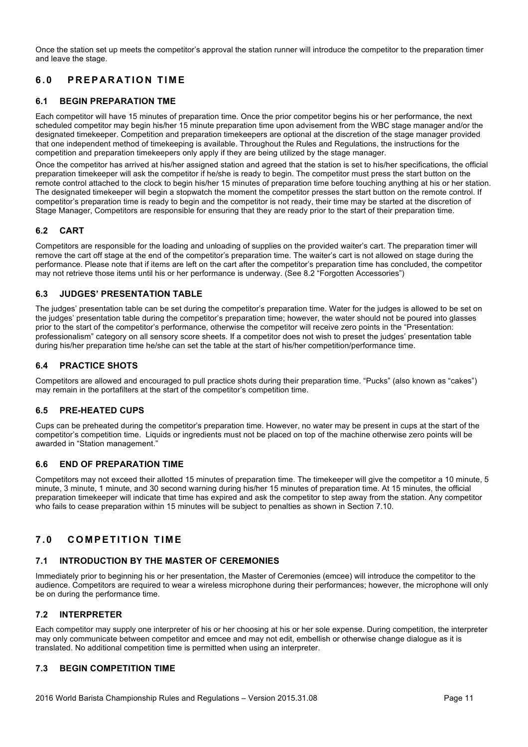Once the station set up meets the competitor's approval the station runner will introduce the competitor to the preparation timer and leave the stage.

# **6.0 PREPARATION TIME**

# **6.1 BEGIN PREPARATION TME**

Each competitor will have 15 minutes of preparation time. Once the prior competitor begins his or her performance, the next scheduled competitor may begin his/her 15 minute preparation time upon advisement from the WBC stage manager and/or the designated timekeeper. Competition and preparation timekeepers are optional at the discretion of the stage manager provided that one independent method of timekeeping is available. Throughout the Rules and Regulations, the instructions for the competition and preparation timekeepers only apply if they are being utilized by the stage manager.

Once the competitor has arrived at his/her assigned station and agreed that the station is set to his/her specifications, the official preparation timekeeper will ask the competitor if he/she is ready to begin. The competitor must press the start button on the remote control attached to the clock to begin his/her 15 minutes of preparation time before touching anything at his or her station. The designated timekeeper will begin a stopwatch the moment the competitor presses the start button on the remote control. If competitor's preparation time is ready to begin and the competitor is not ready, their time may be started at the discretion of Stage Manager, Competitors are responsible for ensuring that they are ready prior to the start of their preparation time.

## **6.2 CART**

Competitors are responsible for the loading and unloading of supplies on the provided waiter's cart. The preparation timer will remove the cart off stage at the end of the competitor's preparation time. The waiter's cart is not allowed on stage during the performance. Please note that if items are left on the cart after the competitor's preparation time has concluded, the competitor may not retrieve those items until his or her performance is underway. (See 8.2 "Forgotten Accessories")

# **6.3 JUDGES' PRESENTATION TABLE**

The judges' presentation table can be set during the competitor's preparation time. Water for the judges is allowed to be set on the judges' presentation table during the competitor's preparation time; however, the water should not be poured into glasses prior to the start of the competitor's performance, otherwise the competitor will receive zero points in the "Presentation: professionalism" category on all sensory score sheets. If a competitor does not wish to preset the judges' presentation table during his/her preparation time he/she can set the table at the start of his/her competition/performance time.

## **6.4 PRACTICE SHOTS**

Competitors are allowed and encouraged to pull practice shots during their preparation time. "Pucks" (also known as "cakes") may remain in the portafilters at the start of the competitor's competition time.

## **6.5 PRE-HEATED CUPS**

Cups can be preheated during the competitor's preparation time. However, no water may be present in cups at the start of the competitor's competition time. Liquids or ingredients must not be placed on top of the machine otherwise zero points will be awarded in "Station management."

# **6.6 END OF PREPARATION TIME**

Competitors may not exceed their allotted 15 minutes of preparation time. The timekeeper will give the competitor a 10 minute, 5 minute, 3 minute, 1 minute, and 30 second warning during his/her 15 minutes of preparation time. At 15 minutes, the official preparation timekeeper will indicate that time has expired and ask the competitor to step away from the station. Any competitor who fails to cease preparation within 15 minutes will be subject to penalties as shown in Section 7.10.

# **7.0 COMPETITION TIME**

## **7.1 INTRODUCTION BY THE MASTER OF CEREMONIES**

Immediately prior to beginning his or her presentation, the Master of Ceremonies (emcee) will introduce the competitor to the audience. Competitors are required to wear a wireless microphone during their performances; however, the microphone will only be on during the performance time.

## **7.2 INTERPRETER**

Each competitor may supply one interpreter of his or her choosing at his or her sole expense. During competition, the interpreter may only communicate between competitor and emcee and may not edit, embellish or otherwise change dialogue as it is translated. No additional competition time is permitted when using an interpreter.

## **7.3 BEGIN COMPETITION TIME**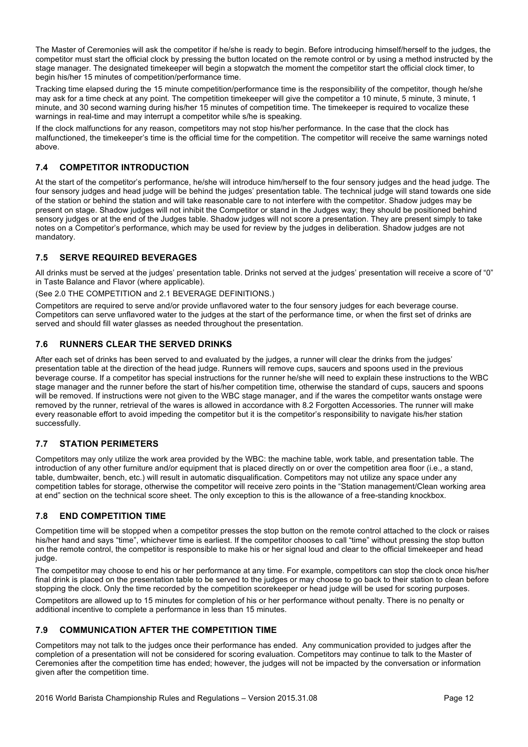The Master of Ceremonies will ask the competitor if he/she is ready to begin. Before introducing himself/herself to the judges, the competitor must start the official clock by pressing the button located on the remote control or by using a method instructed by the stage manager. The designated timekeeper will begin a stopwatch the moment the competitor start the official clock timer, to begin his/her 15 minutes of competition/performance time.

Tracking time elapsed during the 15 minute competition/performance time is the responsibility of the competitor, though he/she may ask for a time check at any point. The competition timekeeper will give the competitor a 10 minute, 5 minute, 3 minute, 1 minute, and 30 second warning during his/her 15 minutes of competition time. The timekeeper is required to vocalize these warnings in real-time and may interrupt a competitor while s/he is speaking.

If the clock malfunctions for any reason, competitors may not stop his/her performance. In the case that the clock has malfunctioned, the timekeeper's time is the official time for the competition. The competitor will receive the same warnings noted above.

# **7.4 COMPETITOR INTRODUCTION**

At the start of the competitor's performance, he/she will introduce him/herself to the four sensory judges and the head judge. The four sensory judges and head judge will be behind the judges' presentation table. The technical judge will stand towards one side of the station or behind the station and will take reasonable care to not interfere with the competitor. Shadow judges may be present on stage. Shadow judges will not inhibit the Competitor or stand in the Judges way; they should be positioned behind sensory judges or at the end of the Judges table. Shadow judges will not score a presentation. They are present simply to take notes on a Competitor's performance, which may be used for review by the judges in deliberation. Shadow judges are not mandatory.

# **7.5 SERVE REQUIRED BEVERAGES**

All drinks must be served at the judges' presentation table. Drinks not served at the judges' presentation will receive a score of "0" in Taste Balance and Flavor (where applicable).

## (See 2.0 THE COMPETITION and 2.1 BEVERAGE DEFINITIONS.)

Competitors are required to serve and/or provide unflavored water to the four sensory judges for each beverage course. Competitors can serve unflavored water to the judges at the start of the performance time, or when the first set of drinks are served and should fill water glasses as needed throughout the presentation.

# **7.6 RUNNERS CLEAR THE SERVED DRINKS**

After each set of drinks has been served to and evaluated by the judges, a runner will clear the drinks from the judges' presentation table at the direction of the head judge. Runners will remove cups, saucers and spoons used in the previous beverage course. If a competitor has special instructions for the runner he/she will need to explain these instructions to the WBC stage manager and the runner before the start of his/her competition time, otherwise the standard of cups, saucers and spoons will be removed. If instructions were not given to the WBC stage manager, and if the wares the competitor wants onstage were removed by the runner, retrieval of the wares is allowed in accordance with 8.2 Forgotten Accessories. The runner will make every reasonable effort to avoid impeding the competitor but it is the competitor's responsibility to navigate his/her station successfully.

# **7.7 STATION PERIMETERS**

Competitors may only utilize the work area provided by the WBC: the machine table, work table, and presentation table. The introduction of any other furniture and/or equipment that is placed directly on or over the competition area floor (i.e., a stand, table, dumbwaiter, bench, etc.) will result in automatic disqualification. Competitors may not utilize any space under any competition tables for storage, otherwise the competitor will receive zero points in the "Station management/Clean working area at end" section on the technical score sheet. The only exception to this is the allowance of a free-standing knockbox.

# **7.8 END COMPETITION TIME**

Competition time will be stopped when a competitor presses the stop button on the remote control attached to the clock or raises his/her hand and says "time", whichever time is earliest. If the competitor chooses to call "time" without pressing the stop button on the remote control, the competitor is responsible to make his or her signal loud and clear to the official timekeeper and head judge.

The competitor may choose to end his or her performance at any time. For example, competitors can stop the clock once his/her final drink is placed on the presentation table to be served to the judges or may choose to go back to their station to clean before stopping the clock. Only the time recorded by the competition scorekeeper or head judge will be used for scoring purposes.

Competitors are allowed up to 15 minutes for completion of his or her performance without penalty. There is no penalty or additional incentive to complete a performance in less than 15 minutes.

# **7.9 COMMUNICATION AFTER THE COMPETITION TIME**

Competitors may not talk to the judges once their performance has ended. Any communication provided to judges after the completion of a presentation will not be considered for scoring evaluation. Competitors may continue to talk to the Master of Ceremonies after the competition time has ended; however, the judges will not be impacted by the conversation or information given after the competition time.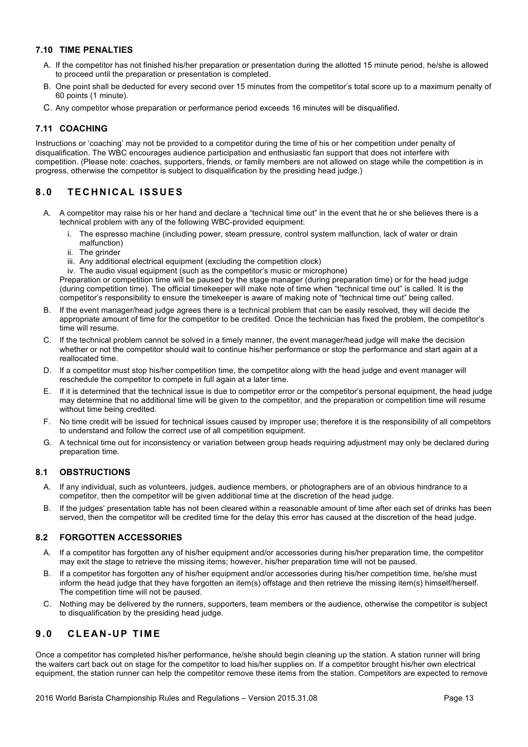# **7.10 TIME PENALTIES**

- A. If the competitor has not finished his/her preparation or presentation during the allotted 15 minute period, he/she is allowed to proceed until the preparation or presentation is completed.
- B. One point shall be deducted for every second over 15 minutes from the competitor's total score up to a maximum penalty of 60 points (1 minute).
- C. Any competitor whose preparation or performance period exceeds 16 minutes will be disqualified.

# **7.11 COACHING**

Instructions or 'coaching' may not be provided to a competitor during the time of his or her competition under penalty of disqualification. The WBC encourages audience participation and enthusiastic fan support that does not interfere with competition. (Please note: coaches, supporters, friends, or family members are not allowed on stage while the competition is in progress, otherwise the competitor is subject to disqualification by the presiding head judge.)

# **8.0 TECHNICAL ISSUES**

- A. A competitor may raise his or her hand and declare a "technical time out" in the event that he or she believes there is a technical problem with any of the following WBC-provided equipment:
	- i. The espresso machine (including power, steam pressure, control system malfunction, lack of water or drain malfunction)
	- ii. The grinder
	- iii. Any additional electrical equipment (excluding the competition clock)

iv. The audio visual equipment (such as the competitor's music or microphone)

Preparation or competition time will be paused by the stage manager (during preparation time) or for the head judge (during competition time). The official timekeeper will make note of time when "technical time out" is called. It is the competitor's responsibility to ensure the timekeeper is aware of making note of "technical time out" being called.

- B. If the event manager/head judge agrees there is a technical problem that can be easily resolved, they will decide the appropriate amount of time for the competitor to be credited. Once the technician has fixed the problem, the competitor's time will resume.
- C. If the technical problem cannot be solved in a timely manner, the event manager/head judge will make the decision whether or not the competitor should wait to continue his/her performance or stop the performance and start again at a reallocated time.
- D. If a competitor must stop his/her competition time, the competitor along with the head judge and event manager will reschedule the competitor to compete in full again at a later time.
- E. If it is determined that the technical issue is due to competitor error or the competitor's personal equipment, the head judge may determine that no additional time will be given to the competitor, and the preparation or competition time will resume without time being credited.
- F. No time credit will be issued for technical issues caused by improper use; therefore it is the responsibility of all competitors to understand and follow the correct use of all competition equipment.
- G. A technical time out for inconsistency or variation between group heads requiring adjustment may only be declared during preparation time.

## **8.1 OBSTRUCTIONS**

- A. If any individual, such as volunteers, judges, audience members, or photographers are of an obvious hindrance to a competitor, then the competitor will be given additional time at the discretion of the head judge.
- B. If the judges' presentation table has not been cleared within a reasonable amount of time after each set of drinks has been served, then the competitor will be credited time for the delay this error has caused at the discretion of the head judge.

## **8.2 FORGOTTEN ACCESSORIES**

- A. If a competitor has forgotten any of his/her equipment and/or accessories during his/her preparation time, the competitor may exit the stage to retrieve the missing items; however, his/her preparation time will not be paused.
- B. If a competitor has forgotten any of his/her equipment and/or accessories during his/her competition time, he/she must inform the head judge that they have forgotten an item(s) offstage and then retrieve the missing item(s) himself/herself. The competition time will not be paused.
- C. Nothing may be delivered by the runners, supporters, team members or the audience, otherwise the competitor is subject to disqualification by the presiding head judge.

# **9.0 CLEAN - UP TIME**

Once a competitor has completed his/her performance, he/she should begin cleaning up the station. A station runner will bring the waiters cart back out on stage for the competitor to load his/her supplies on. If a competitor brought his/her own electrical equipment, the station runner can help the competitor remove these items from the station. Competitors are expected to remove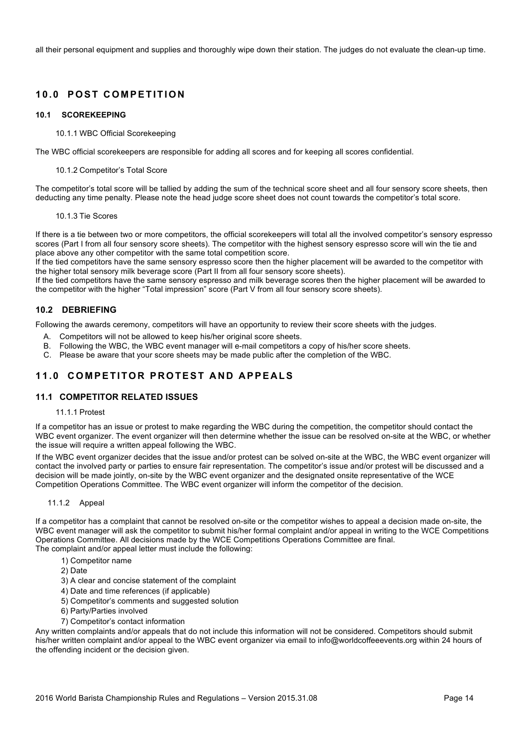all their personal equipment and supplies and thoroughly wipe down their station. The judges do not evaluate the clean-up time.

# **10.0 POST COMPETITION**

#### **10.1 SCOREKEEPING**

10.1.1 WBC Official Scorekeeping

The WBC official scorekeepers are responsible for adding all scores and for keeping all scores confidential.

#### 10.1.2 Competitor's Total Score

The competitor's total score will be tallied by adding the sum of the technical score sheet and all four sensory score sheets, then deducting any time penalty. Please note the head judge score sheet does not count towards the competitor's total score.

#### 10.1.3 Tie Scores

If there is a tie between two or more competitors, the official scorekeepers will total all the involved competitor's sensory espresso scores (Part I from all four sensory score sheets). The competitor with the highest sensory espresso score will win the tie and place above any other competitor with the same total competition score.

If the tied competitors have the same sensory espresso score then the higher placement will be awarded to the competitor with the higher total sensory milk beverage score (Part II from all four sensory score sheets).

If the tied competitors have the same sensory espresso and milk beverage scores then the higher placement will be awarded to the competitor with the higher "Total impression" score (Part V from all four sensory score sheets).

## **10.2 DEBRIEFING**

Following the awards ceremony, competitors will have an opportunity to review their score sheets with the judges.

- A. Competitors will not be allowed to keep his/her original score sheets.
- B. Following the WBC, the WBC event manager will e-mail competitors a copy of his/her score sheets.
- C. Please be aware that your score sheets may be made public after the completion of the WBC.

# **11.0 COMPETITOR PROTEST A ND APPEALS**

## **11.1 COMPETITOR RELATED ISSUES**

## 11.1.1 Protest

If a competitor has an issue or protest to make regarding the WBC during the competition, the competitor should contact the WBC event organizer. The event organizer will then determine whether the issue can be resolved on-site at the WBC, or whether the issue will require a written appeal following the WBC.

If the WBC event organizer decides that the issue and/or protest can be solved on-site at the WBC, the WBC event organizer will contact the involved party or parties to ensure fair representation. The competitor's issue and/or protest will be discussed and a decision will be made jointly, on-site by the WBC event organizer and the designated onsite representative of the WCE Competition Operations Committee. The WBC event organizer will inform the competitor of the decision.

#### 11.1.2 Appeal

If a competitor has a complaint that cannot be resolved on-site or the competitor wishes to appeal a decision made on-site, the WBC event manager will ask the competitor to submit his/her formal complaint and/or appeal in writing to the WCE Competitions Operations Committee. All decisions made by the WCE Competitions Operations Committee are final. The complaint and/or appeal letter must include the following:

- 1) Competitor name
- 2) Date
- 3) A clear and concise statement of the complaint
- 4) Date and time references (if applicable)
- 5) Competitor's comments and suggested solution
- 6) Party/Parties involved
- 7) Competitor's contact information

Any written complaints and/or appeals that do not include this information will not be considered. Competitors should submit his/her written complaint and/or appeal to the WBC event organizer via email to info@worldcoffeeevents.org within 24 hours of the offending incident or the decision given.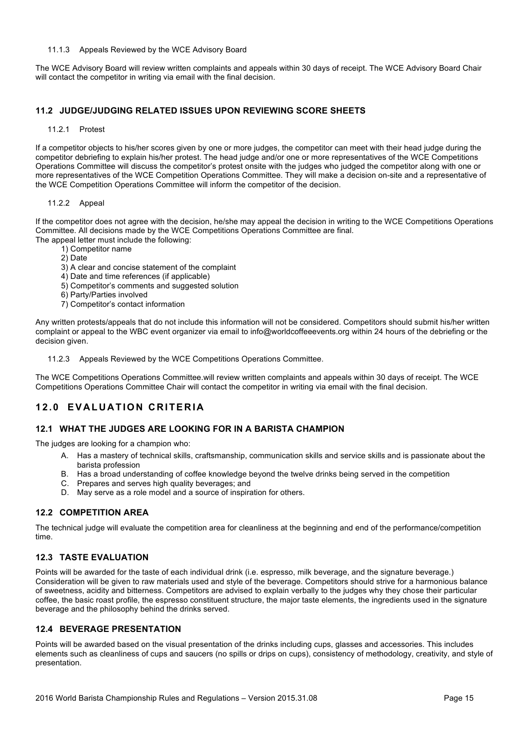#### 11.1.3 Appeals Reviewed by the WCE Advisory Board

The WCE Advisory Board will review written complaints and appeals within 30 days of receipt. The WCE Advisory Board Chair will contact the competitor in writing via email with the final decision.

## **11.2 JUDGE/JUDGING RELATED ISSUES UPON REVIEWING SCORE SHEETS**

#### 11.2.1 Protest

If a competitor objects to his/her scores given by one or more judges, the competitor can meet with their head judge during the competitor debriefing to explain his/her protest. The head judge and/or one or more representatives of the WCE Competitions Operations Committee will discuss the competitor's protest onsite with the judges who judged the competitor along with one or more representatives of the WCE Competition Operations Committee. They will make a decision on-site and a representative of the WCE Competition Operations Committee will inform the competitor of the decision.

#### 11.2.2 Appeal

If the competitor does not agree with the decision, he/she may appeal the decision in writing to the WCE Competitions Operations Committee. All decisions made by the WCE Competitions Operations Committee are final. The appeal letter must include the following:

1) Competitor name

- 2) Date
- 3) A clear and concise statement of the complaint
- 4) Date and time references (if applicable)
- 5) Competitor's comments and suggested solution
- 6) Party/Parties involved
- 7) Competitor's contact information

Any written protests/appeals that do not include this information will not be considered. Competitors should submit his/her written complaint or appeal to the WBC event organizer via email to info@worldcoffeeevents.org within 24 hours of the debriefing or the decision given.

11.2.3 Appeals Reviewed by the WCE Competitions Operations Committee.

The WCE Competitions Operations Committee.will review written complaints and appeals within 30 days of receipt. The WCE Competitions Operations Committee Chair will contact the competitor in writing via email with the final decision.

# **12.0 EVALUATION CRITERIA**

## **12.1 WHAT THE JUDGES ARE LOOKING FOR IN A BARISTA CHAMPION**

The judges are looking for a champion who:

- A. Has a mastery of technical skills, craftsmanship, communication skills and service skills and is passionate about the barista profession
- B. Has a broad understanding of coffee knowledge beyond the twelve drinks being served in the competition
- C. Prepares and serves high quality beverages; and
- D. May serve as a role model and a source of inspiration for others.

## **12.2 COMPETITION AREA**

The technical judge will evaluate the competition area for cleanliness at the beginning and end of the performance/competition time.

## **12.3 TASTE EVALUATION**

Points will be awarded for the taste of each individual drink (i.e. espresso, milk beverage, and the signature beverage.) Consideration will be given to raw materials used and style of the beverage. Competitors should strive for a harmonious balance of sweetness, acidity and bitterness. Competitors are advised to explain verbally to the judges why they chose their particular coffee, the basic roast profile, the espresso constituent structure, the major taste elements, the ingredients used in the signature beverage and the philosophy behind the drinks served.

#### **12.4 BEVERAGE PRESENTATION**

Points will be awarded based on the visual presentation of the drinks including cups, glasses and accessories. This includes elements such as cleanliness of cups and saucers (no spills or drips on cups), consistency of methodology, creativity, and style of presentation.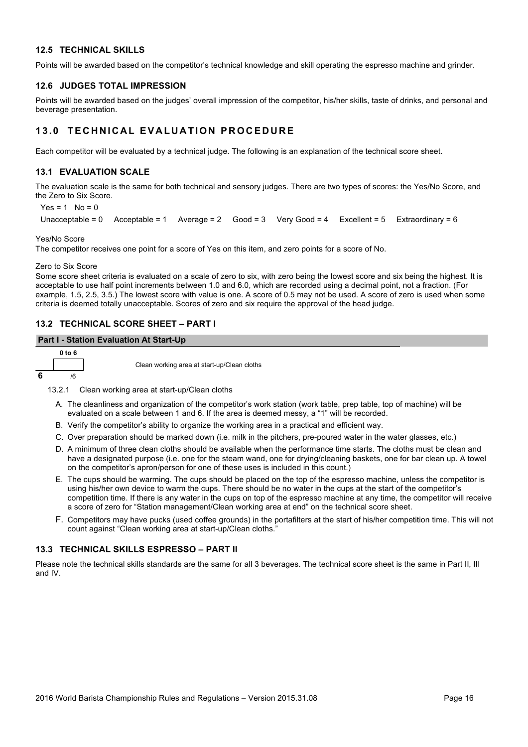## **12.5 TECHNICAL SKILLS**

Points will be awarded based on the competitor's technical knowledge and skill operating the espresso machine and grinder.

## **12.6 JUDGES TOTAL IMPRESSION**

Points will be awarded based on the judges' overall impression of the competitor, his/her skills, taste of drinks, and personal and beverage presentation.

# **13.0 TECHNICAL EVALUATION PROCEDURE**

Each competitor will be evaluated by a technical judge. The following is an explanation of the technical score sheet.

## **13.1 EVALUATION SCALE**

The evaluation scale is the same for both technical and sensory judges. There are two types of scores: the Yes/No Score, and the Zero to Six Score.

```
Yes = 1 No = 0
Unacceptable = 0 Acceptable = 1 Average = 2 Good = 3 Very Good = 4 Excellent = 5 Extraordinary = 6
```
Yes/No Score

The competitor receives one point for a score of Yes on this item, and zero points for a score of No.

Zero to Six Score

Some score sheet criteria is evaluated on a scale of zero to six, with zero being the lowest score and six being the highest. It is acceptable to use half point increments between 1.0 and 6.0, which are recorded using a decimal point, not a fraction. (For example, 1.5, 2.5, 3.5.) The lowest score with value is one. A score of 0.5 may not be used. A score of zero is used when some criteria is deemed totally unacceptable. Scores of zero and six require the approval of the head judge.

## **13.2 TECHNICAL SCORE SHEET – PART I**

#### **Part I - Station Evaluation At Start-Up**



Clean working area at start-up/Clean cloths

13.2.1 Clean working area at start-up/Clean cloths

- A. The cleanliness and organization of the competitor's work station (work table, prep table, top of machine) will be evaluated on a scale between 1 and 6. If the area is deemed messy, a "1" will be recorded.
- B. Verify the competitor's ability to organize the working area in a practical and efficient way.
- C. Over preparation should be marked down (i.e. milk in the pitchers, pre-poured water in the water glasses, etc.)
- D. A minimum of three clean cloths should be available when the performance time starts. The cloths must be clean and have a designated purpose (i.e. one for the steam wand, one for drying/cleaning baskets, one for bar clean up. A towel on the competitor's apron/person for one of these uses is included in this count.)
- E. The cups should be warming. The cups should be placed on the top of the espresso machine, unless the competitor is using his/her own device to warm the cups. There should be no water in the cups at the start of the competitor's competition time. If there is any water in the cups on top of the espresso machine at any time, the competitor will receive a score of zero for "Station management/Clean working area at end" on the technical score sheet.
- F. Competitors may have pucks (used coffee grounds) in the portafilters at the start of his/her competition time. This will not count against "Clean working area at start-up/Clean cloths."

# **13.3 TECHNICAL SKILLS ESPRESSO – PART II**

Please note the technical skills standards are the same for all 3 beverages. The technical score sheet is the same in Part II, III and IV.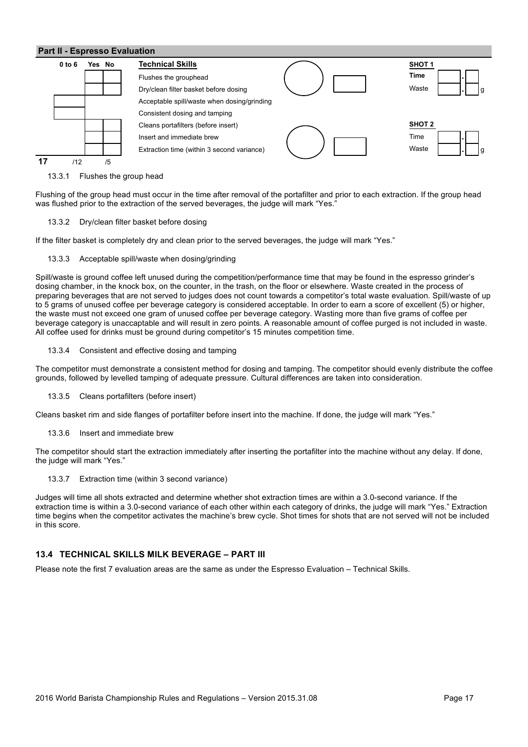

13.3.1 Flushes the group head

Flushing of the group head must occur in the time after removal of the portafilter and prior to each extraction. If the group head was flushed prior to the extraction of the served beverages, the judge will mark "Yes."

#### 13.3.2 Dry/clean filter basket before dosing

If the filter basket is completely dry and clean prior to the served beverages, the judge will mark "Yes."

#### 13.3.3 Acceptable spill/waste when dosing/grinding

Spill/waste is ground coffee left unused during the competition/performance time that may be found in the espresso grinder's dosing chamber, in the knock box, on the counter, in the trash, on the floor or elsewhere. Waste created in the process of preparing beverages that are not served to judges does not count towards a competitor's total waste evaluation. Spill/waste of up to 5 grams of unused coffee per beverage category is considered acceptable. In order to earn a score of excellent (5) or higher, the waste must not exceed one gram of unused coffee per beverage category. Wasting more than five grams of coffee per beverage category is unaccaptable and will result in zero points. A reasonable amount of coffee purged is not included in waste. All coffee used for drinks must be ground during competitor's 15 minutes competition time.

#### 13.3.4 Consistent and effective dosing and tamping

The competitor must demonstrate a consistent method for dosing and tamping. The competitor should evenly distribute the coffee grounds, followed by levelled tamping of adequate pressure. Cultural differences are taken into consideration.

#### 13.3.5 Cleans portafilters (before insert)

Cleans basket rim and side flanges of portafilter before insert into the machine. If done, the judge will mark "Yes."

13.3.6 Insert and immediate brew

The competitor should start the extraction immediately after inserting the portafilter into the machine without any delay. If done, the judge will mark "Yes."

13.3.7 Extraction time (within 3 second variance)

Judges will time all shots extracted and determine whether shot extraction times are within a 3.0-second variance. If the extraction time is within a 3.0-second variance of each other within each category of drinks, the judge will mark "Yes." Extraction time begins when the competitor activates the machine's brew cycle. Shot times for shots that are not served will not be included in this score.

#### **13.4 TECHNICAL SKILLS MILK BEVERAGE – PART III**

Please note the first 7 evaluation areas are the same as under the Espresso Evaluation – Technical Skills.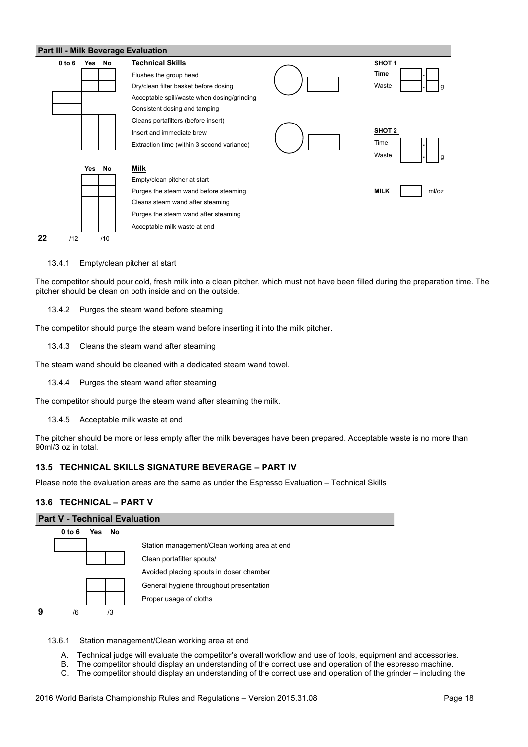#### **Part III - Milk Beverage Evaluation**



13.4.1 Empty/clean pitcher at start

The competitor should pour cold, fresh milk into a clean pitcher, which must not have been filled during the preparation time. The pitcher should be clean on both inside and on the outside.

13.4.2 Purges the steam wand before steaming

The competitor should purge the steam wand before inserting it into the milk pitcher.

13.4.3 Cleans the steam wand after steaming

The steam wand should be cleaned with a dedicated steam wand towel.

13.4.4 Purges the steam wand after steaming

The competitor should purge the steam wand after steaming the milk.

13.4.5 Acceptable milk waste at end

The pitcher should be more or less empty after the milk beverages have been prepared. Acceptable waste is no more than 90ml/3 oz in total.

## **13.5 TECHNICAL SKILLS SIGNATURE BEVERAGE – PART IV**

Please note the evaluation areas are the same as under the Espresso Evaluation – Technical Skills

#### **13.6 TECHNICAL – PART V**

## **Part V - Technical Evaluation**



13.6.1 Station management/Clean working area at end

- A. Technical judge will evaluate the competitor's overall workflow and use of tools, equipment and accessories.
- B. The competitor should display an understanding of the correct use and operation of the espresso machine.
- C. The competitor should display an understanding of the correct use and operation of the grinder including the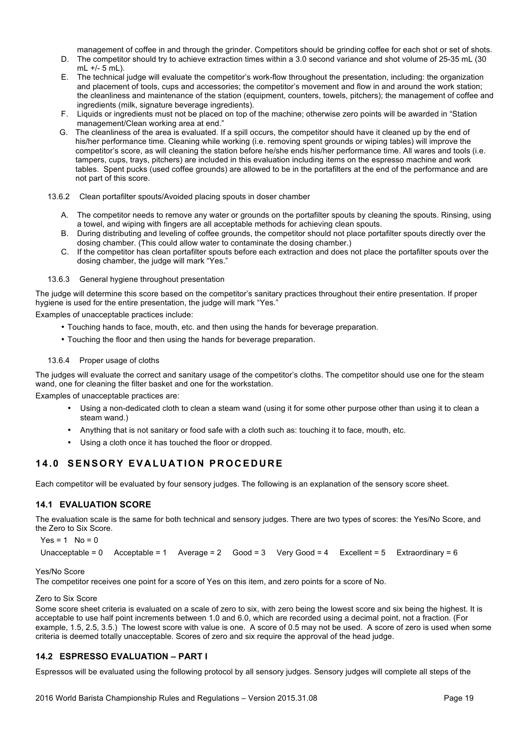management of coffee in and through the grinder. Competitors should be grinding coffee for each shot or set of shots.

- D. The competitor should try to achieve extraction times within a 3.0 second variance and shot volume of 25-35 mL (30 mL +/- 5 mL).
- E. The technical judge will evaluate the competitor's work-flow throughout the presentation, including: the organization and placement of tools, cups and accessories; the competitor's movement and flow in and around the work station; the cleanliness and maintenance of the station (equipment, counters, towels, pitchers); the management of coffee and ingredients (milk, signature beverage ingredients).
- F. Liquids or ingredients must not be placed on top of the machine; otherwise zero points will be awarded in "Station management/Clean working area at end."
- G. The cleanliness of the area is evaluated. If a spill occurs, the competitor should have it cleaned up by the end of his/her performance time. Cleaning while working (i.e. removing spent grounds or wiping tables) will improve the competitor's score, as will cleaning the station before he/she ends his/her performance time. All wares and tools (i.e. tampers, cups, trays, pitchers) are included in this evaluation including items on the espresso machine and work tables. Spent pucks (used coffee grounds) are allowed to be in the portafilters at the end of the performance and are not part of this score.
- 13.6.2 Clean portafilter spouts/Avoided placing spouts in doser chamber
	- A. The competitor needs to remove any water or grounds on the portafilter spouts by cleaning the spouts. Rinsing, using a towel, and wiping with fingers are all acceptable methods for achieving clean spouts.
	- B. During distributing and leveling of coffee grounds, the competitor should not place portafilter spouts directly over the dosing chamber. (This could allow water to contaminate the dosing chamber.)
	- C. If the competitor has clean portafilter spouts before each extraction and does not place the portafilter spouts over the dosing chamber, the judge will mark "Yes."

#### 13.6.3 General hygiene throughout presentation

The judge will determine this score based on the competitor's sanitary practices throughout their entire presentation. If proper hygiene is used for the entire presentation, the judge will mark "Yes."

Examples of unacceptable practices include:

- Touching hands to face, mouth, etc. and then using the hands for beverage preparation.
- Touching the floor and then using the hands for beverage preparation.

#### 13.6.4 Proper usage of cloths

The judges will evaluate the correct and sanitary usage of the competitor's cloths. The competitor should use one for the steam wand, one for cleaning the filter basket and one for the workstation.

Examples of unacceptable practices are:

- Using a non-dedicated cloth to clean a steam wand (using it for some other purpose other than using it to clean a steam wand.)
- Anything that is not sanitary or food safe with a cloth such as: touching it to face, mouth, etc.
- Using a cloth once it has touched the floor or dropped.

# **14.0 SENSORY EVALUATION PROCEDURE**

Each competitor will be evaluated by four sensory judges. The following is an explanation of the sensory score sheet.

# **14.1 EVALUATION SCORE**

The evaluation scale is the same for both technical and sensory judges. There are two types of scores: the Yes/No Score, and the Zero to Six Score.

 $Yes = 1$  No = 0

Unacceptable = 0 Acceptable = 1 Average = 2 Good = 3 Very Good = 4 Excellent = 5 Extraordinary = 6

#### Yes/No Score

The competitor receives one point for a score of Yes on this item, and zero points for a score of No.

## Zero to Six Score

Some score sheet criteria is evaluated on a scale of zero to six, with zero being the lowest score and six being the highest. It is acceptable to use half point increments between 1.0 and 6.0, which are recorded using a decimal point, not a fraction. (For example, 1.5, 2.5, 3.5.) The lowest score with value is one. A score of 0.5 may not be used. A score of zero is used when some criteria is deemed totally unacceptable. Scores of zero and six require the approval of the head judge.

## **14.2 ESPRESSO EVALUATION – PART I**

Espressos will be evaluated using the following protocol by all sensory judges. Sensory judges will complete all steps of the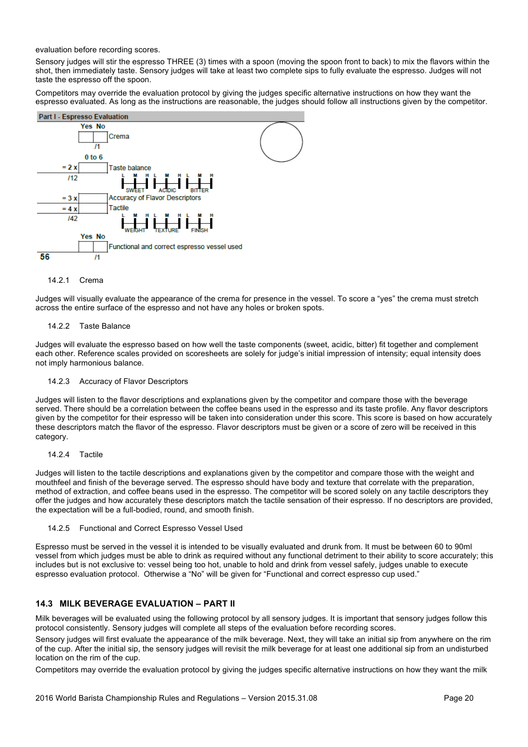evaluation before recording scores.

Sensory judges will stir the espresso THREE (3) times with a spoon (moving the spoon front to back) to mix the flavors within the shot, then immediately taste. Sensory judges will take at least two complete sips to fully evaluate the espresso. Judges will not taste the espresso off the spoon.

Competitors may override the evaluation protocol by giving the judges specific alternative instructions on how they want the espresso evaluated. As long as the instructions are reasonable, the judges should follow all instructions given by the competitor.



#### 14.2.1 Crema

Judges will visually evaluate the appearance of the crema for presence in the vessel. To score a "yes" the crema must stretch across the entire surface of the espresso and not have any holes or broken spots.

#### 14.2.2 Taste Balance

Judges will evaluate the espresso based on how well the taste components (sweet, acidic, bitter) fit together and complement each other. Reference scales provided on scoresheets are solely for judge's initial impression of intensity; equal intensity does not imply harmonious balance.

#### 14.2.3 Accuracy of Flavor Descriptors

Judges will listen to the flavor descriptions and explanations given by the competitor and compare those with the beverage served. There should be a correlation between the coffee beans used in the espresso and its taste profile. Any flavor descriptors given by the competitor for their espresso will be taken into consideration under this score. This score is based on how accurately these descriptors match the flavor of the espresso. Flavor descriptors must be given or a score of zero will be received in this category.

#### 14.2.4 Tactile

Judges will listen to the tactile descriptions and explanations given by the competitor and compare those with the weight and mouthfeel and finish of the beverage served. The espresso should have body and texture that correlate with the preparation, method of extraction, and coffee beans used in the espresso. The competitor will be scored solely on any tactile descriptors they offer the judges and how accurately these descriptors match the tactile sensation of their espresso. If no descriptors are provided, the expectation will be a full-bodied, round, and smooth finish.

#### 14.2.5 Functional and Correct Espresso Vessel Used

Espresso must be served in the vessel it is intended to be visually evaluated and drunk from. It must be between 60 to 90ml vessel from which judges must be able to drink as required without any functional detriment to their ability to score accurately; this includes but is not exclusive to: vessel being too hot, unable to hold and drink from vessel safely, judges unable to execute espresso evaluation protocol. Otherwise a "No" will be given for "Functional and correct espresso cup used."

# **14.3 MILK BEVERAGE EVALUATION – PART II**

Milk beverages will be evaluated using the following protocol by all sensory judges. It is important that sensory judges follow this protocol consistently. Sensory judges will complete all steps of the evaluation before recording scores.

Sensory judges will first evaluate the appearance of the milk beverage. Next, they will take an initial sip from anywhere on the rim of the cup. After the initial sip, the sensory judges will revisit the milk beverage for at least one additional sip from an undisturbed location on the rim of the cup.

Competitors may override the evaluation protocol by giving the judges specific alternative instructions on how they want the milk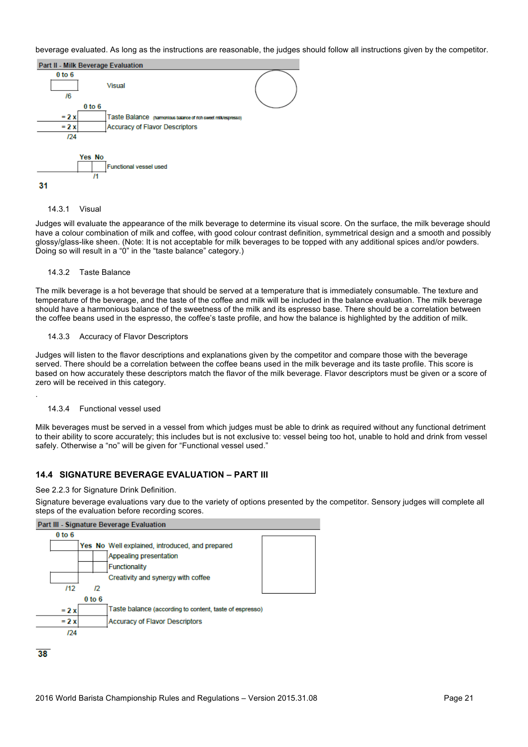beverage evaluated. As long as the instructions are reasonable, the judges should follow all instructions given by the competitor.



#### 14.3.1 Visual

Judges will evaluate the appearance of the milk beverage to determine its visual score. On the surface, the milk beverage should have a colour combination of milk and coffee, with good colour contrast definition, symmetrical design and a smooth and possibly glossy/glass-like sheen. (Note: It is not acceptable for milk beverages to be topped with any additional spices and/or powders. Doing so will result in a "0" in the "taste balance" category.)

#### 14.3.2 Taste Balance

The milk beverage is a hot beverage that should be served at a temperature that is immediately consumable. The texture and temperature of the beverage, and the taste of the coffee and milk will be included in the balance evaluation. The milk beverage should have a harmonious balance of the sweetness of the milk and its espresso base. There should be a correlation between the coffee beans used in the espresso, the coffee's taste profile, and how the balance is highlighted by the addition of milk.

#### 14.3.3 Accuracy of Flavor Descriptors

Judges will listen to the flavor descriptions and explanations given by the competitor and compare those with the beverage served. There should be a correlation between the coffee beans used in the milk beverage and its taste profile. This score is based on how accurately these descriptors match the flavor of the milk beverage. Flavor descriptors must be given or a score of zero will be received in this category.

#### 14.3.4 Functional vessel used

.

Milk beverages must be served in a vessel from which judges must be able to drink as required without any functional detriment to their ability to score accurately; this includes but is not exclusive to: vessel being too hot, unable to hold and drink from vessel safely. Otherwise a "no" will be given for "Functional vessel used."

## **14.4 SIGNATURE BEVERAGE EVALUATION – PART III**

See 2.2.3 for Signature Drink Definition.

Signature beverage evaluations vary due to the variety of options presented by the competitor. Sensory judges will complete all steps of the evaluation before recording scores.

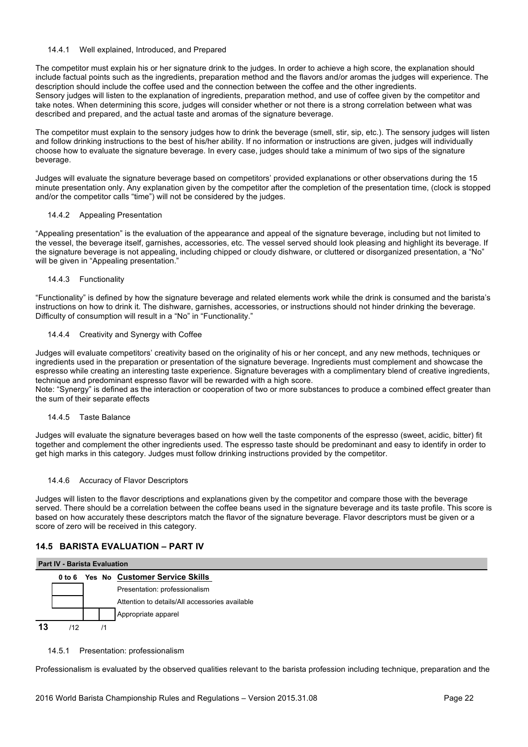#### 14.4.1 Well explained, Introduced, and Prepared

The competitor must explain his or her signature drink to the judges. In order to achieve a high score, the explanation should include factual points such as the ingredients, preparation method and the flavors and/or aromas the judges will experience. The description should include the coffee used and the connection between the coffee and the other ingredients. Sensory judges will listen to the explanation of ingredients, preparation method, and use of coffee given by the competitor and take notes. When determining this score, judges will consider whether or not there is a strong correlation between what was described and prepared, and the actual taste and aromas of the signature beverage.

The competitor must explain to the sensory judges how to drink the beverage (smell, stir, sip, etc.). The sensory judges will listen and follow drinking instructions to the best of his/her ability. If no information or instructions are given, judges will individually choose how to evaluate the signature beverage. In every case, judges should take a minimum of two sips of the signature beverage.

Judges will evaluate the signature beverage based on competitors' provided explanations or other observations during the 15 minute presentation only. Any explanation given by the competitor after the completion of the presentation time, (clock is stopped and/or the competitor calls "time") will not be considered by the judges.

#### 14.4.2 Appealing Presentation

"Appealing presentation" is the evaluation of the appearance and appeal of the signature beverage, including but not limited to the vessel, the beverage itself, garnishes, accessories, etc. The vessel served should look pleasing and highlight its beverage. If the signature beverage is not appealing, including chipped or cloudy dishware, or cluttered or disorganized presentation, a "No" will be given in "Appealing presentation."

#### 14.4.3 Functionality

"Functionality" is defined by how the signature beverage and related elements work while the drink is consumed and the barista's instructions on how to drink it. The dishware, garnishes, accessories, or instructions should not hinder drinking the beverage. Difficulty of consumption will result in a "No" in "Functionality."

## 14.4.4 Creativity and Synergy with Coffee

Judges will evaluate competitors' creativity based on the originality of his or her concept, and any new methods, techniques or ingredients used in the preparation or presentation of the signature beverage. Ingredients must complement and showcase the espresso while creating an interesting taste experience. Signature beverages with a complimentary blend of creative ingredients, technique and predominant espresso flavor will be rewarded with a high score.

Note: "Synergy" is defined as the interaction or cooperation of two or more substances to produce a combined effect greater than the sum of their separate effects

## 14.4.5 Taste Balance

Judges will evaluate the signature beverages based on how well the taste components of the espresso (sweet, acidic, bitter) fit together and complement the other ingredients used. The espresso taste should be predominant and easy to identify in order to get high marks in this category. Judges must follow drinking instructions provided by the competitor.

#### 14.4.6 Accuracy of Flavor Descriptors

Judges will listen to the flavor descriptions and explanations given by the competitor and compare those with the beverage served. There should be a correlation between the coffee beans used in the signature beverage and its taste profile. This score is based on how accurately these descriptors match the flavor of the signature beverage. Flavor descriptors must be given or a score of zero will be received in this category.

## **14.5 BARISTA EVALUATION – PART IV**

#### **Part IV - Barista Evaluation**



#### 14.5.1 Presentation: professionalism

Professionalism is evaluated by the observed qualities relevant to the barista profession including technique, preparation and the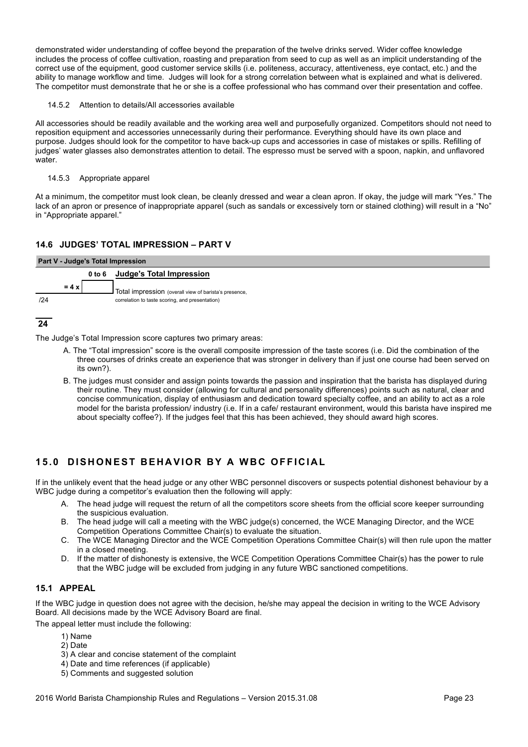demonstrated wider understanding of coffee beyond the preparation of the twelve drinks served. Wider coffee knowledge includes the process of coffee cultivation, roasting and preparation from seed to cup as well as an implicit understanding of the correct use of the equipment, good customer service skills (i.e. politeness, accuracy, attentiveness, eye contact, etc.) and the ability to manage workflow and time. Judges will look for a strong correlation between what is explained and what is delivered. The competitor must demonstrate that he or she is a coffee professional who has command over their presentation and coffee.

#### 14.5.2 Attention to details/All accessories available

All accessories should be readily available and the working area well and purposefully organized. Competitors should not need to reposition equipment and accessories unnecessarily during their performance. Everything should have its own place and purpose. Judges should look for the competitor to have back-up cups and accessories in case of mistakes or spills. Refilling of judges' water glasses also demonstrates attention to detail. The espresso must be served with a spoon, napkin, and unflavored water.

#### 14.5.3 Appropriate apparel

At a minimum, the competitor must look clean, be cleanly dressed and wear a clean apron. If okay, the judge will mark "Yes." The lack of an apron or presence of inappropriate apparel (such as sandals or excessively torn or stained clothing) will result in a "No" in "Appropriate apparel."

## **14.6 JUDGES' TOTAL IMPRESSION – PART V**

| Part V - Judge's Total Impression |                                                         |  |  |  |  |  |
|-----------------------------------|---------------------------------------------------------|--|--|--|--|--|
|                                   | 0 to 6 Judge's Total Impression                         |  |  |  |  |  |
| $= 4x1$                           | I Total impression (overall view of barista's presence, |  |  |  |  |  |
| 124                               | correlation to taste scoring, and presentation)         |  |  |  |  |  |

## **24**

The Judge's Total Impression score captures two primary areas:

- A. The "Total impression" score is the overall composite impression of the taste scores (i.e. Did the combination of the three courses of drinks create an experience that was stronger in delivery than if just one course had been served on its own?).
- B. The judges must consider and assign points towards the passion and inspiration that the barista has displayed during their routine. They must consider (allowing for cultural and personality differences) points such as natural, clear and concise communication, display of enthusiasm and dedication toward specialty coffee, and an ability to act as a role model for the barista profession/ industry (i.e. If in a cafe/ restaurant environment, would this barista have inspired me about specialty coffee?). If the judges feel that this has been achieved, they should award high scores.

# **15.0 DISHONEST BEHAVIOR BY A WBC OFFICIAL**

If in the unlikely event that the head judge or any other WBC personnel discovers or suspects potential dishonest behaviour by a WBC judge during a competitor's evaluation then the following will apply:

- A. The head judge will request the return of all the competitors score sheets from the official score keeper surrounding the suspicious evaluation.
- B. The head judge will call a meeting with the WBC judge(s) concerned, the WCE Managing Director, and the WCE Competition Operations Committee Chair(s) to evaluate the situation.
- C. The WCE Managing Director and the WCE Competition Operations Committee Chair(s) will then rule upon the matter in a closed meeting.
- D. If the matter of dishonesty is extensive, the WCE Competition Operations Committee Chair(s) has the power to rule that the WBC judge will be excluded from judging in any future WBC sanctioned competitions.

# **15.1 APPEAL**

If the WBC judge in question does not agree with the decision, he/she may appeal the decision in writing to the WCE Advisory Board. All decisions made by the WCE Advisory Board are final.

The appeal letter must include the following:

- 1) Name
- 2) Date
- 3) A clear and concise statement of the complaint
- 4) Date and time references (if applicable)
- 5) Comments and suggested solution